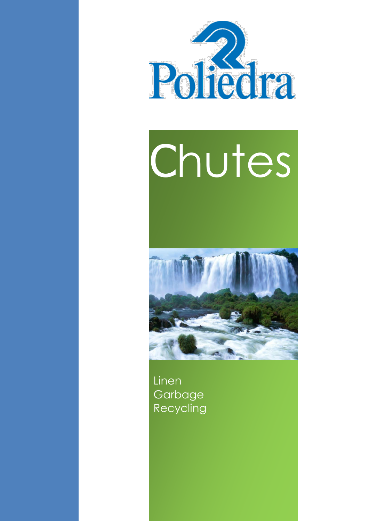

# Chutes



**Linen, garbage and recycling chutes**

Linen **Garbage Recycling**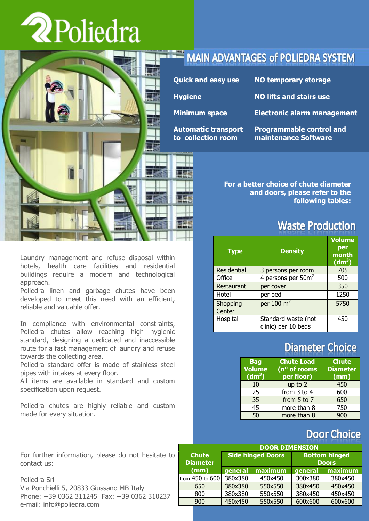# **2Poliedra**



# **MAIN ADVANTAGES of POLIEDRA SYSTEM**

| <b>Quick and easy use</b>                        | <b>NO temporary storage</b>                             |
|--------------------------------------------------|---------------------------------------------------------|
| <b>Hygiene</b>                                   | <b>NO lifts and stairs use</b>                          |
| <b>Minimum space</b>                             | <b>Electronic alarm management</b>                      |
| <b>Automatic transport</b><br>to collection room | <b>Programmable control and</b><br>maintenance Software |

**For a better choice of chute diameter and doors, please refer to the following tables:**

# **Waste Production**

| <b>Type</b>        | <b>Density</b>                             | <b>Volume</b><br>per<br>month<br>(dm <sup>3</sup> ) |
|--------------------|--------------------------------------------|-----------------------------------------------------|
| <b>Residential</b> | 3 persons per room                         | 705                                                 |
| Office             | 4 persons per 50m <sup>2</sup>             | 500                                                 |
| Restaurant         | per cover                                  | 350                                                 |
| Hotel              | per bed                                    | 1250                                                |
| Shopping<br>Center | per $100 \text{ m}^2$                      | 5750                                                |
| Hospital           | Standard waste (not<br>clinic) per 10 beds | 450                                                 |

# **Diameter Choice**

| <b>Bag</b>         | <b>Chute Load</b> | <b>Chute</b>    |  |
|--------------------|-------------------|-----------------|--|
| <b>Volume</b>      | (n° of rooms      | <b>Diameter</b> |  |
| (dm <sup>3</sup> ) | per floor)        | (mm)            |  |
| 10                 | up to 2           | 450             |  |
| 25                 | from 3 to 4       | 600             |  |
| 35                 | from 5 to 7       | 650             |  |
| $\overline{45}$    | more than 8       | 750             |  |
| 50                 | more than 8       | 900             |  |

# **Door Choice**

| <b>DOOR DIMENSION</b>           |                          |         |                                      |         |  |  |
|---------------------------------|--------------------------|---------|--------------------------------------|---------|--|--|
| <b>Chute</b><br><b>Diameter</b> | <b>Side hinged Doors</b> |         | <b>Bottom hinged</b><br><b>Doors</b> |         |  |  |
| (mm)                            | general                  | maximum | general                              | maximum |  |  |
| from 450 to 600                 | 380x380                  | 450x450 | 300x380                              | 380x450 |  |  |
| 650                             | 380x380                  | 550x550 | 380x450                              | 450x450 |  |  |
| 800                             | 380x380                  | 550x550 | 380x450                              | 450x450 |  |  |
| 900                             | 450x450                  | 550x550 | 600x600                              | 600x600 |  |  |

Laundry management and refuse disposal within hotels, health care facilities and residential buildings require a modern and technological approach.

Poliedra linen and garbage chutes have been developed to meet this need with an efficient, reliable and valuable offer.

In compliance with environmental constraints, Poliedra chutes allow reaching high hygienic standard, designing a dedicated and inaccessible route for a fast management of laundry and refuse towards the collecting area.

Poliedra standard offer is made of stainless steel pipes with intakes at every floor.

All items are available in standard and custom specification upon request.

Poliedra chutes are highly reliable and custom made for every situation.

For further information, please do not hesitate to contact us:

Poliedra Srl Via Ponchielli 5, 20833 Giussano MB Italy Phone: +39 0362 311245 Fax: +39 0362 310237 e-mail: info@poliedra.com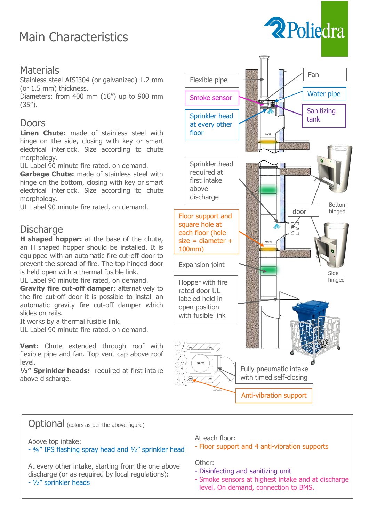# Main Characteristics

### **Materials**

Stainless steel AISI304 (or galvanized) 1.2 mm (or 1.5 mm) thickness.

Diameters: from 400 mm (16") up to 900 mm (35").

### Doors

**Linen Chute:** made of stainless steel with hinge on the side, closing with key or smart electrical interlock. Size according to chute morphology.

UL Label 90 minute fire rated, on demand.

**Garbage Chute:** made of stainless steel with hinge on the bottom, closing with key or smart electrical interlock. Size according to chute morphology.

UL Label 90 minute fire rated, on demand.

### **Discharge**

**H shaped hopper:** at the base of the chute, an H shaped hopper should be installed. It is equipped with an automatic fire cut-off door to prevent the spread of fire. The top hinged door is held open with a thermal fusible link.

UL Label 90 minute fire rated, on demand.

**Gravity fire cut-off damper**: alternatively to the fire cut-off door it is possible to install an automatic gravity fire cut-off damper which slides on rails.

It works by a thermal fusible link.

UL Label 90 minute fire rated, on demand.

**Vent:** Chute extended through roof with flexible pipe and fan. Top vent cap above roof level.

**½" Sprinkler heads:** required at first intake above discharge.



2 Poliedra

**Optional** (colors as per the above figure)

Above top intake:

- ¾" IPS flashing spray head and ½" sprinkler head

At every other intake, starting from the one above discharge (or as required by local regulations): - ½" sprinkler heads

At each floor:

- Floor support and 4 anti-vibration supports

Other:

- Disinfecting and sanitizing unit
- Smoke sensors at highest intake and at discharge level. On demand, connection to BMS.